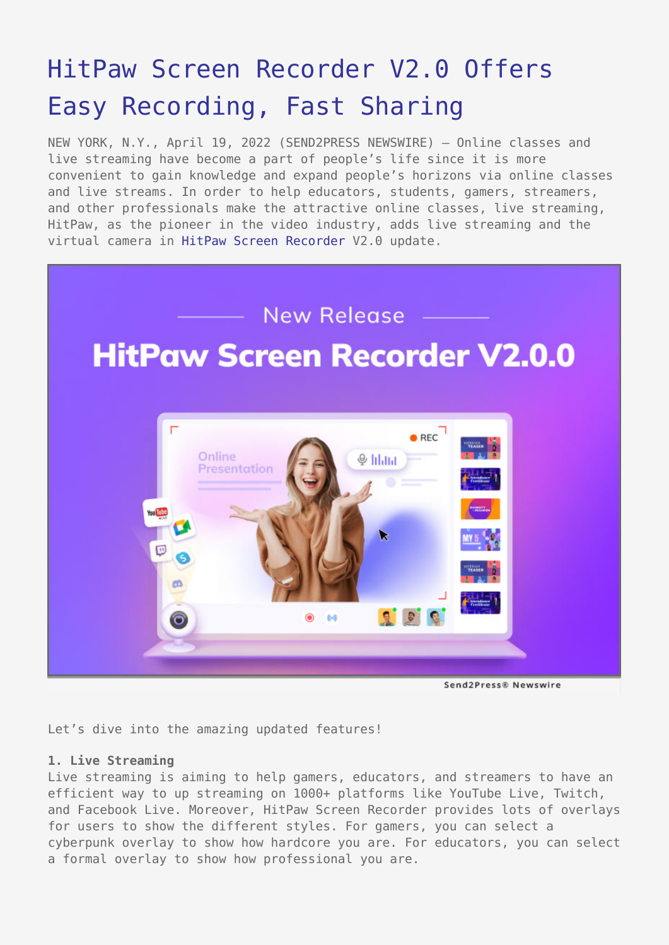# [HitPaw Screen Recorder V2.0 Offers](https://www.send2press.com/wire/hitpaw-screen-recorder-v2-0-offers-easy-recording-fast-sharing/) [Easy Recording, Fast Sharing](https://www.send2press.com/wire/hitpaw-screen-recorder-v2-0-offers-easy-recording-fast-sharing/)

NEW YORK, N.Y., April 19, 2022 (SEND2PRESS NEWSWIRE) — Online classes and live streaming have become a part of people's life since it is more convenient to gain knowledge and expand people's horizons via online classes and live streams. In order to help educators, students, gamers, streamers, and other professionals make the attractive online classes, live streaming, HitPaw, as the pioneer in the video industry, adds live streaming and the virtual camera in [HitPaw Screen Recorder](https://www.hitpaw.com/screen-recorder.html) V2.0 update.



Send 2 Press® Newswire

Let's dive into the amazing updated features!

## **1. Live Streaming**

Live streaming is aiming to help gamers, educators, and streamers to have an efficient way to up streaming on 1000+ platforms like YouTube Live, Twitch, and Facebook Live. Moreover, HitPaw Screen Recorder provides lots of overlays for users to show the different styles. For gamers, you can select a cyberpunk overlay to show how hardcore you are. For educators, you can select a formal overlay to show how professional you are.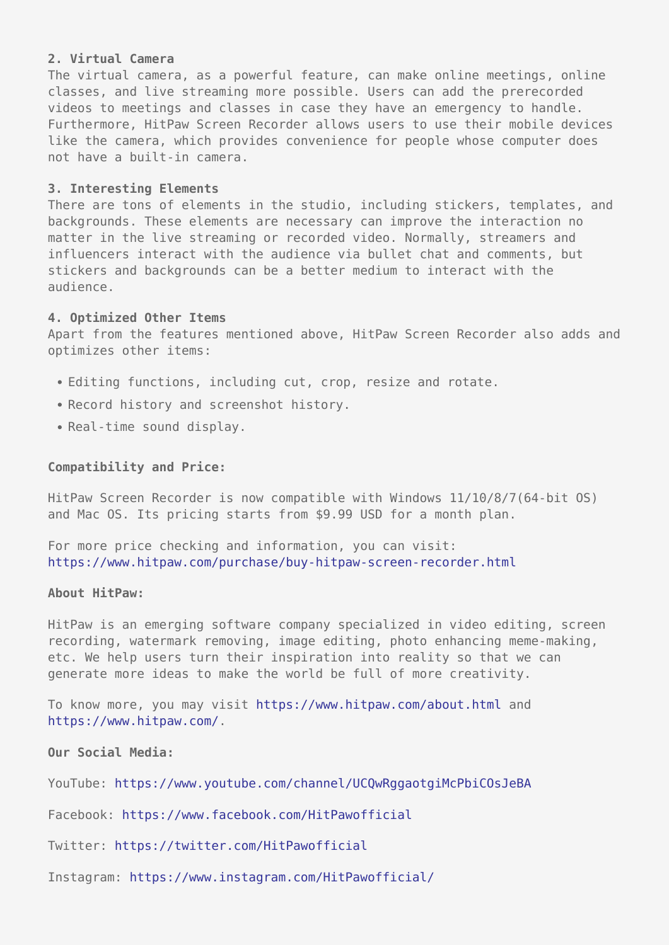### **2. Virtual Camera**

The virtual camera, as a powerful feature, can make online meetings, online classes, and live streaming more possible. Users can add the prerecorded videos to meetings and classes in case they have an emergency to handle. Furthermore, HitPaw Screen Recorder allows users to use their mobile devices like the camera, which provides convenience for people whose computer does not have a built-in camera.

#### **3. Interesting Elements**

There are tons of elements in the studio, including stickers, templates, and backgrounds. These elements are necessary can improve the interaction no matter in the live streaming or recorded video. Normally, streamers and influencers interact with the audience via bullet chat and comments, but stickers and backgrounds can be a better medium to interact with the audience.

#### **4. Optimized Other Items**

Apart from the features mentioned above, HitPaw Screen Recorder also adds and optimizes other items:

- Editing functions, including cut, crop, resize and rotate.
- Record history and screenshot history.
- Real-time sound display.

#### **Compatibility and Price:**

HitPaw Screen Recorder is now compatible with Windows 11/10/8/7(64-bit OS) and Mac OS. Its pricing starts from \$9.99 USD for a month plan.

For more price checking and information, you can visit: <https://www.hitpaw.com/purchase/buy-hitpaw-screen-recorder.html>

#### **About HitPaw:**

HitPaw is an emerging software company specialized in video editing, screen recording, watermark removing, image editing, photo enhancing meme-making, etc. We help users turn their inspiration into reality so that we can generate more ideas to make the world be full of more creativity.

To know more, you may visit <https://www.hitpaw.com/about.html> and [https://www.hitpaw.com/.](https://www.hitpaw.com/)

**Our Social Media:**

YouTube:<https://www.youtube.com/channel/UCQwRggaotgiMcPbiCOsJeBA>

Facebook: [https://www.facebook.com/HitPawofficial](https://www.facebook.com/hitpawofficial)

Twitter:<https://twitter.com/HitPawofficial>

Instagram: [https://www.instagram.com/HitPawofficial/](https://www.instagram.com/hitpawofficial/)